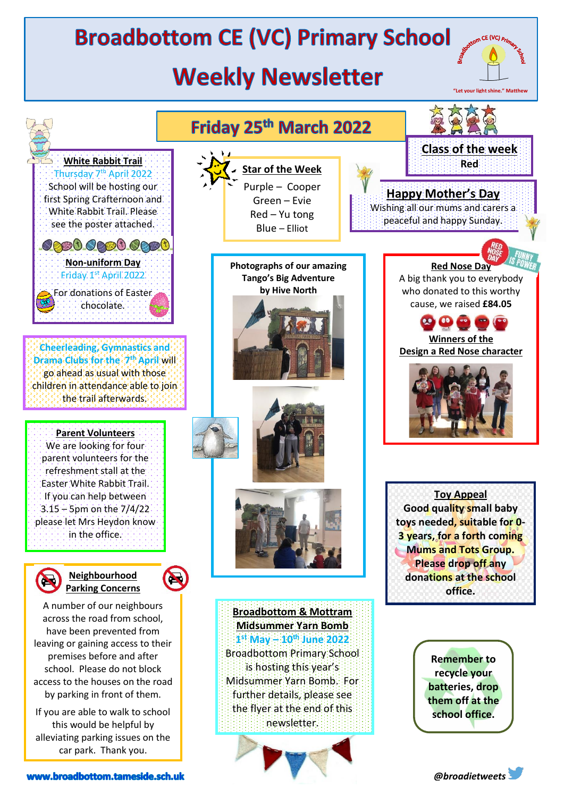## **Broadbottom CE (VC) Primary School**

## **Weekly Newsletter**



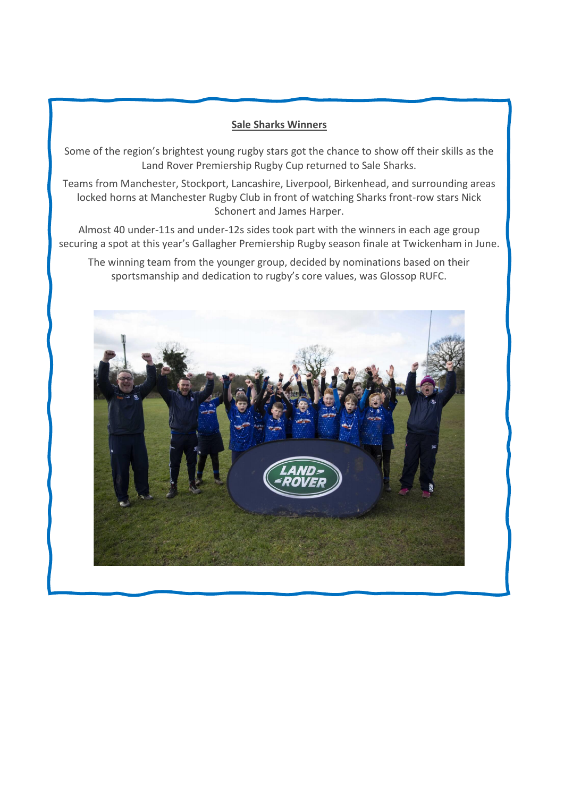## **Sale Sharks Winners**

Some of the region's brightest young rugby stars got the chance to show off their skills as the Land Rover Premiership Rugby Cup returned to Sale Sharks.

Teams from Manchester, Stockport, Lancashire, Liverpool, Birkenhead, and surrounding areas locked horns at Manchester Rugby Club in front of watching Sharks front-row stars Nick Schonert and James Harper.

Almost 40 under-11s and under-12s sides took part with the winners in each age group securing a spot at this year's Gallagher Premiership Rugby season finale at Twickenham in June.

The winning team from the younger group, decided by nominations based on their sportsmanship and dedication to rugby's core values, was Glossop RUFC.

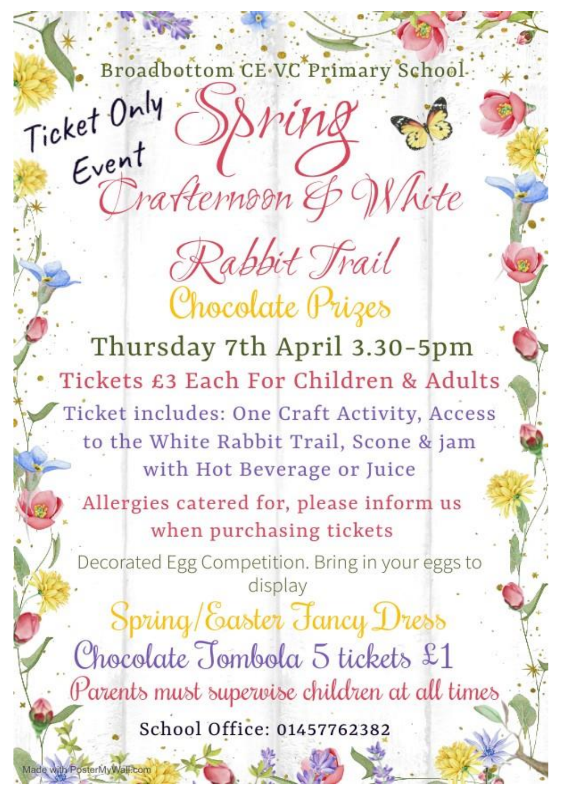Broadbottom CE VC Primary School. Ticket Only

srink

Trafternoon & White

Rabbit Trail

Chocolate Prizes

Thursday 7th April 3.30-5pm Tickets £3 Each For Children & Adults Ticket includes: One Craft Activity, Access to the White Rabbit Trail, Scone & jam with Hot Beverage or Juice Allergies catered for, please inform us when purchasing tickets Decorated Egg Competition. Bring in your eggs to display Spring/Easter Fancy Dress Chocolate Tombola 5 tickets £1 Parents must supervise children at all times

School Office: 01457762382

Made with PosterMyWall.com